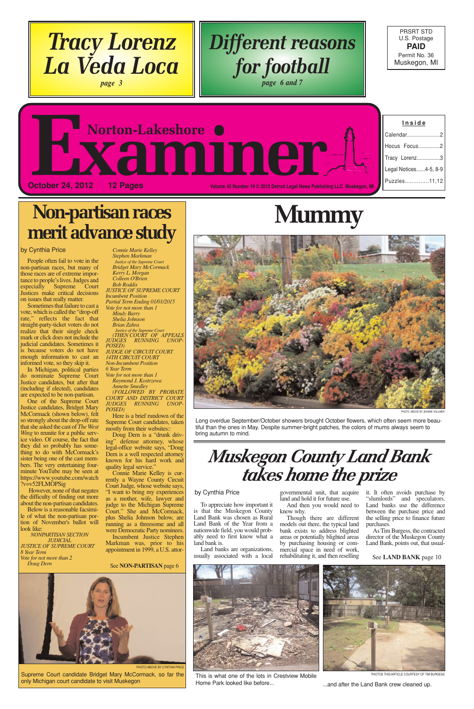| Inside                |
|-----------------------|
| Calendar<br>2         |
| Hocus Focus2          |
| Tracy Lorenz3         |
| Legal Notices4-5, 8-9 |
| Puzzles11,12          |
|                       |

PRSRT STD U.S. Postage **PAID** Permit No. 36 Muskegon, MI

# **Inside EXaminer October 24, 2012 12 Pages Mages Account 20 Pages** *Volume 45 Number 19 © 2012 Detroit Legal News Publishing LLC Muskegon, MI**Number 19* **© 2012 Detroit Legal News Publishing LLC Muskegon, MI**

People often fail to vote in the non-partisan races, but many of those races are of extreme importance to people's lives. Judges and especially Supreme Court Justices make critical decisions on issues that really matter.

Sometimes that failure to cast a vote, which is called the "drop-off rate," reflects the fact that straight-party-ticket voters do not realize that their single check mark or click does not include the judicial candidates. Sometimes it is because voters do not have enough information to cast an informed vote, so they skip it.

In Michigan, political parties do nominate Supreme Court Justice candidates, but after that (including if elected), candidates are expected to be non-partisan.

One of the Supreme Court Justice candidates, Bridget Mary McCormack (shown below), felt so strongly about the drop-offrate that she asked the cast of *The West Wing* to reunite for a public service video. Of course, the fact that they did so probably has something to do with McCormack's sister being one of the cast members. The very entertaining fourminute YouTube may be seen at https://www.youtube.com/watch ?v=v52FLMOPSig

Doug Dern is a "drunk driving" defense attorney, whose legal-office website says, "Doug Dern is a well respected attorney known for his hard work and quality legal service.'

However, none of that negates the difficulty of finding out more about the non-partisan candidates.

Below is a reasonable facsimile of what the non-partisan portion of November's ballot will

look like: *NONPARTISAN SECTION JUDICIAL JUSTICE OF SUPREME COURT 8 Year Term Vote for not more than 2 Doug Dern*

*Connie Marie Kelley Stephen Markman Justice of the Supreme Court Bridget Mary McCormack Kerry L. Morgan Colleen O'Brien Bob Roddis JUSTICE OF SUPREME COURT Incumbent Position Partial Term Ending 01/01/2015 Vote for not more than 1 Mindy Barry Shelia Johnson Brian Zahra*

> "slumlords" and speculators. Land banks use the difference between the purchase price and the selling price to finance future

*Justice of the Supreme Court (THEN COURT OF APPEALS JUDGES RUNNING UNOP- POSED) JUDGE OF CIRCUIT COURT 14TH CIRCUIT COURT Non-Incumbent Position 6 Year Term*

*Vote for not more than 1 Raymond J. Kostrzewa*

*Annette Smedley (FOLLOWED BY PROBATE*

*COURT AND DISTRICT COURT JUDGES RUNNING UNOP-POSED)*

Here is a brief rundown of the Supreme Court candidates, taken mostly from their websites::

Connie Marie Kelley is currently a Wayne County Circuit Court Judge, whose website says, "I want to bring my experiences as a mother, wife, lawyer and judge to the Michigan Supreme Court." She and McCormack, plus Shelia Johnson below, are running as a threesome and all were Democratic Party nominees. Incumbent Justice Stephen Markman was, prior to his appointment in 1999, a U.S. attor-

To appreciate how important it is that the Muskegon County Land Bank was chosen as Rural

Land Bank of the Year from a nationwide field, you would probably need to first know what a land bank is.

Land banks are organizations, usually associated with a local

governmental unit, that acquire it. It often avoids purchase by land and hold it for future use.

And then you would need to know why. Though there are different

models out there, the typical land bank exists to address blighted areas or potentially blighted areas by purchasing housing or commercial space in need of work, rehabilitating it, and then reselling

purchases.

As Tim Burgess, the contracted director of the Muskegon County Land Bank, points out, that usual-

#### by Cynthia Price

### **Non-partisan races merit advance study**

See **NON-PARTISAN** page 6

## **Mummy**

Long overdue September/October showers brought October flowers, which often seem more beautiful than the ones in May. Despite summer-bright patches, the colors of mums always seem to bring autumn to mind.



PHOTO ABOVE BY JEANNE VOLLMER

### *Different reasons for football page 6 and 7*

*Tracy Lorenz*

*La Veda Loca*

*page 3*

### by Cynthia Price



#### See **LAND BANK** page 10



PHOTO ABOVE BY CYNTHIA PRI

Supreme Court candidate Bridget Mary McCormack, so far the only Michigan court candidate to visit Muskegon

This is what one of the lots in Crestview Mobile Home Park looked like before... ...and after the Land Bank crew cleaned up.



PHOTOS THIS ARTICLE COURTESY OF TIM BURGESS